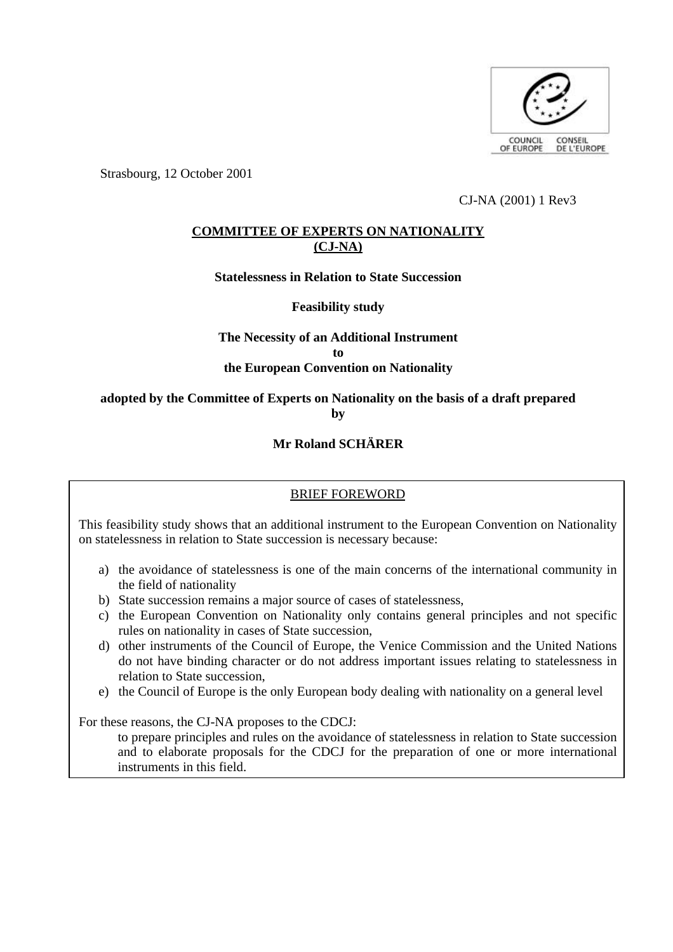

Strasbourg, 12 October 2001

CJ-NA (2001) 1 Rev3

# **COMMITTEE OF EXPERTS ON NATIONALITY (CJ-NA)**

**Statelessness in Relation to State Succession**

**Feasibility study**

# **The Necessity of an Additional Instrument to the European Convention on Nationality**

# **adopted by the Committee of Experts on Nationality on the basis of a draft prepared by**

# **Mr Roland SCHÄRER**

# BRIEF FOREWORD

This feasibility study shows that an additional instrument to the European Convention on Nationality on statelessness in relation to State succession is necessary because:

- a) the avoidance of statelessness is one of the main concerns of the international community in the field of nationality
- b) State succession remains a major source of cases of statelessness,
- c) the European Convention on Nationality only contains general principles and not specific rules on nationality in cases of State succession,
- d) other instruments of the Council of Europe, the Venice Commission and the United Nations do not have binding character or do not address important issues relating to statelessness in relation to State succession,
- e) the Council of Europe is the only European body dealing with nationality on a general level

For these reasons, the CJ-NA proposes to the CDCJ:

to prepare principles and rules on the avoidance of statelessness in relation to State succession and to elaborate proposals for the CDCJ for the preparation of one or more international instruments in this field.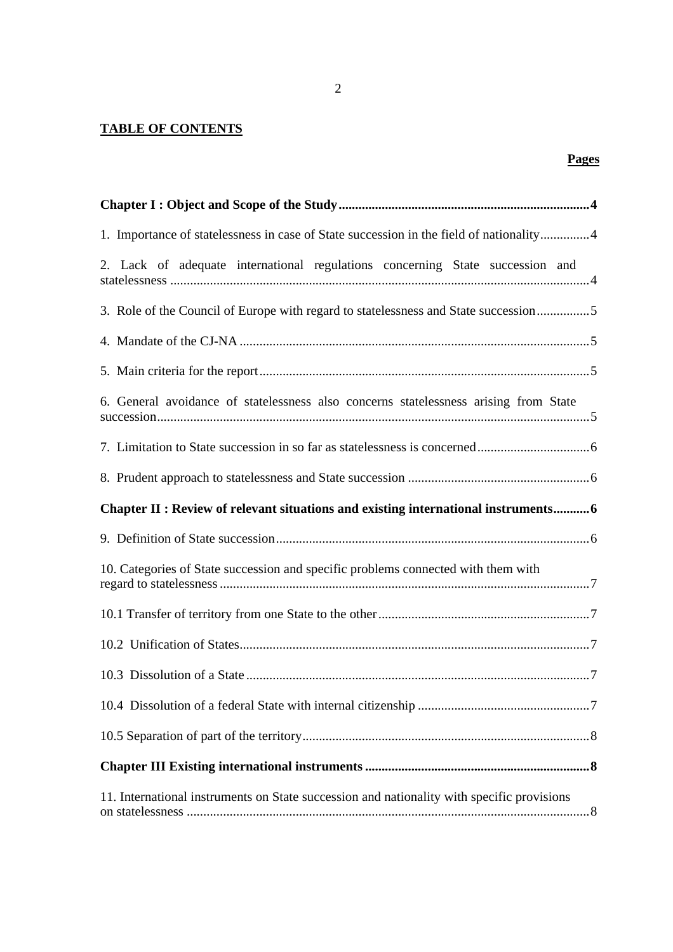# **TABLE OF CONTENTS**

| 1. Importance of statelessness in case of State succession in the field of nationality4 |  |
|-----------------------------------------------------------------------------------------|--|
| 2. Lack of adequate international regulations concerning State succession and           |  |
| 3. Role of the Council of Europe with regard to statelessness and State succession5     |  |
|                                                                                         |  |
|                                                                                         |  |
| 6. General avoidance of statelessness also concerns statelessness arising from State    |  |
|                                                                                         |  |
|                                                                                         |  |
| Chapter II : Review of relevant situations and existing international instruments 6     |  |
|                                                                                         |  |
|                                                                                         |  |
| 10. Categories of State succession and specific problems connected with them with       |  |
|                                                                                         |  |
|                                                                                         |  |
|                                                                                         |  |
|                                                                                         |  |
|                                                                                         |  |
|                                                                                         |  |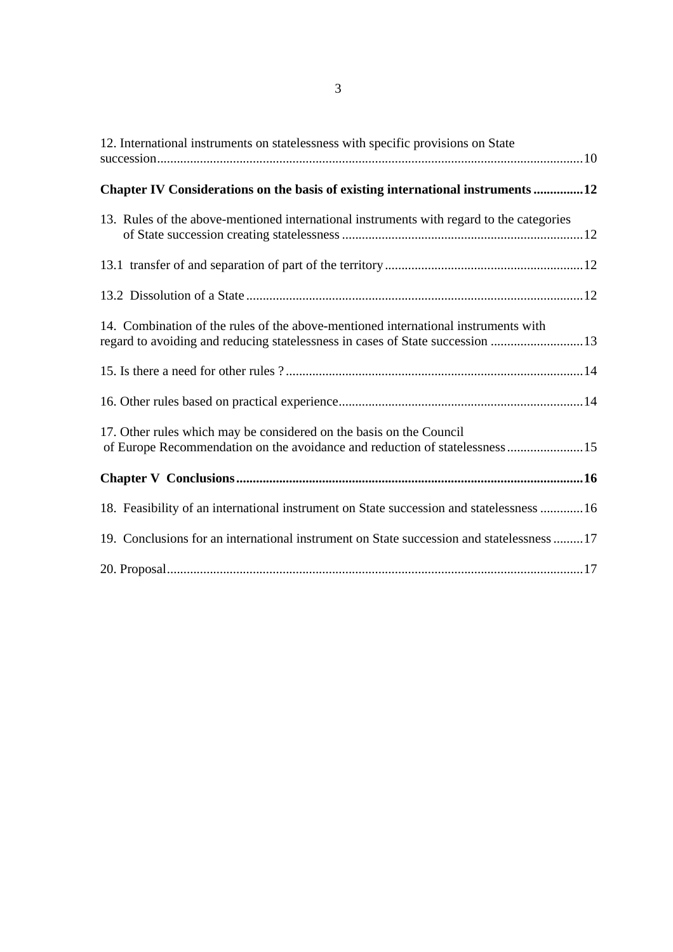| 12. International instruments on statelessness with specific provisions on State                                                                                    |
|---------------------------------------------------------------------------------------------------------------------------------------------------------------------|
| Chapter IV Considerations on the basis of existing international instruments 12                                                                                     |
| 13. Rules of the above-mentioned international instruments with regard to the categories                                                                            |
|                                                                                                                                                                     |
|                                                                                                                                                                     |
| 14. Combination of the rules of the above-mentioned international instruments with<br>regard to avoiding and reducing statelessness in cases of State succession 13 |
|                                                                                                                                                                     |
|                                                                                                                                                                     |
| 17. Other rules which may be considered on the basis on the Council<br>of Europe Recommendation on the avoidance and reduction of statelessness 15                  |
|                                                                                                                                                                     |
| 18. Feasibility of an international instrument on State succession and statelessness 16                                                                             |
| 19. Conclusions for an international instrument on State succession and statelessness 17                                                                            |
|                                                                                                                                                                     |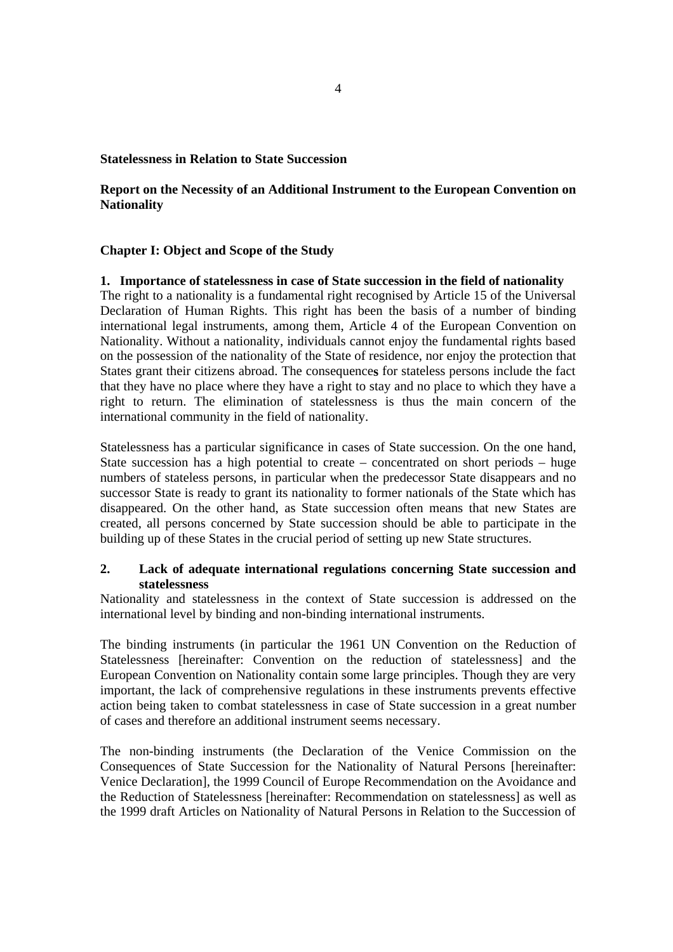## **Statelessness in Relation to State Succession**

# **Report on the Necessity of an Additional Instrument to the European Convention on Nationality**

# **Chapter I: Object and Scope of the Study**

#### **1. Importance of statelessness in case of State succession in the field of nationality**

The right to a nationality is a fundamental right recognised by Article 15 of the Universal Declaration of Human Rights. This right has been the basis of a number of binding international legal instruments, among them, Article 4 of the European Convention on Nationality. Without a nationality, individuals cannot enjoy the fundamental rights based on the possession of the nationality of the State of residence, nor enjoy the protection that States grant their citizens abroad. The consequence**s** for stateless persons include the fact that they have no place where they have a right to stay and no place to which they have a right to return. The elimination of statelessness is thus the main concern of the international community in the field of nationality.

Statelessness has a particular significance in cases of State succession. On the one hand, State succession has a high potential to create – concentrated on short periods – huge numbers of stateless persons, in particular when the predecessor State disappears and no successor State is ready to grant its nationality to former nationals of the State which has disappeared. On the other hand, as State succession often means that new States are created, all persons concerned by State succession should be able to participate in the building up of these States in the crucial period of setting up new State structures.

# **2. Lack of adequate international regulations concerning State succession and statelessness**

Nationality and statelessness in the context of State succession is addressed on the international level by binding and non-binding international instruments.

The binding instruments (in particular the 1961 UN Convention on the Reduction of Statelessness [hereinafter: Convention on the reduction of statelessness] and the European Convention on Nationality contain some large principles. Though they are very important, the lack of comprehensive regulations in these instruments prevents effective action being taken to combat statelessness in case of State succession in a great number of cases and therefore an additional instrument seems necessary.

The non-binding instruments (the Declaration of the Venice Commission on the Consequences of State Succession for the Nationality of Natural Persons [hereinafter: Venice Declaration], the 1999 Council of Europe Recommendation on the Avoidance and the Reduction of Statelessness [hereinafter: Recommendation on statelessness] as well as the 1999 draft Articles on Nationality of Natural Persons in Relation to the Succession of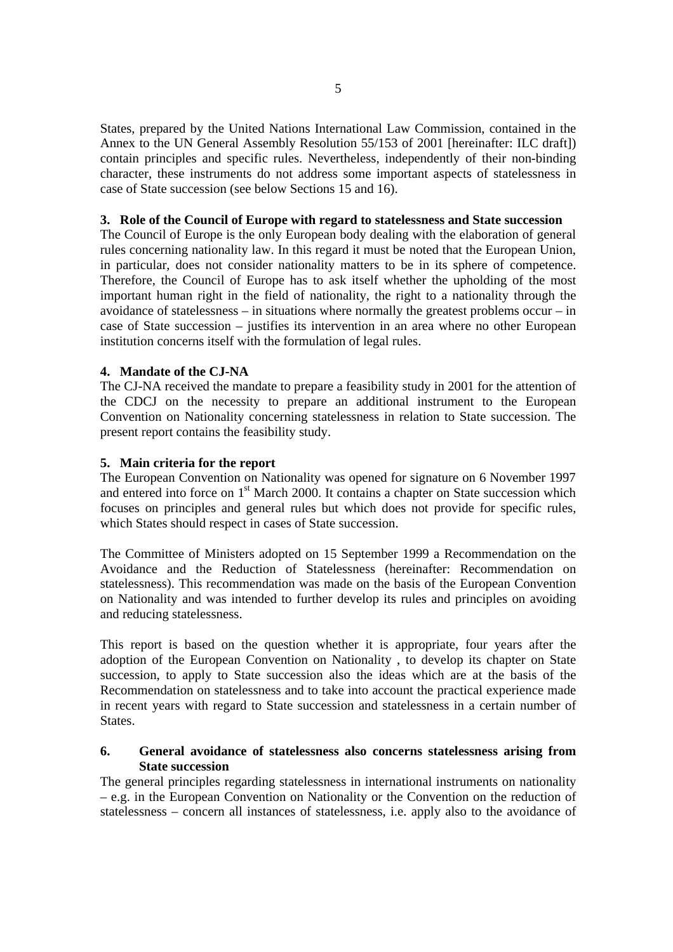States, prepared by the United Nations International Law Commission, contained in the Annex to the UN General Assembly Resolution 55/153 of 2001 [hereinafter: ILC draft]) contain principles and specific rules. Nevertheless, independently of their non-binding character, these instruments do not address some important aspects of statelessness in case of State succession (see below Sections 15 and 16).

## **3. Role of the Council of Europe with regard to statelessness and State succession**

The Council of Europe is the only European body dealing with the elaboration of general rules concerning nationality law. In this regard it must be noted that the European Union, in particular, does not consider nationality matters to be in its sphere of competence. Therefore, the Council of Europe has to ask itself whether the upholding of the most important human right in the field of nationality, the right to a nationality through the avoidance of statelessness – in situations where normally the greatest problems occur – in case of State succession – justifies its intervention in an area where no other European institution concerns itself with the formulation of legal rules.

# **4. Mandate of the CJ-NA**

The CJ-NA received the mandate to prepare a feasibility study in 2001 for the attention of the CDCJ on the necessity to prepare an additional instrument to the European Convention on Nationality concerning statelessness in relation to State succession. The present report contains the feasibility study.

# **5. Main criteria for the report**

The European Convention on Nationality was opened for signature on 6 November 1997 and entered into force on 1<sup>st</sup> March 2000. It contains a chapter on State succession which focuses on principles and general rules but which does not provide for specific rules, which States should respect in cases of State succession.

The Committee of Ministers adopted on 15 September 1999 a Recommendation on the Avoidance and the Reduction of Statelessness (hereinafter: Recommendation on statelessness). This recommendation was made on the basis of the European Convention on Nationality and was intended to further develop its rules and principles on avoiding and reducing statelessness.

This report is based on the question whether it is appropriate, four years after the adoption of the European Convention on Nationality , to develop its chapter on State succession, to apply to State succession also the ideas which are at the basis of the Recommendation on statelessness and to take into account the practical experience made in recent years with regard to State succession and statelessness in a certain number of States.

# **6. General avoidance of statelessness also concerns statelessness arising from State succession**

The general principles regarding statelessness in international instruments on nationality – e.g. in the European Convention on Nationality or the Convention on the reduction of statelessness – concern all instances of statelessness, i.e. apply also to the avoidance of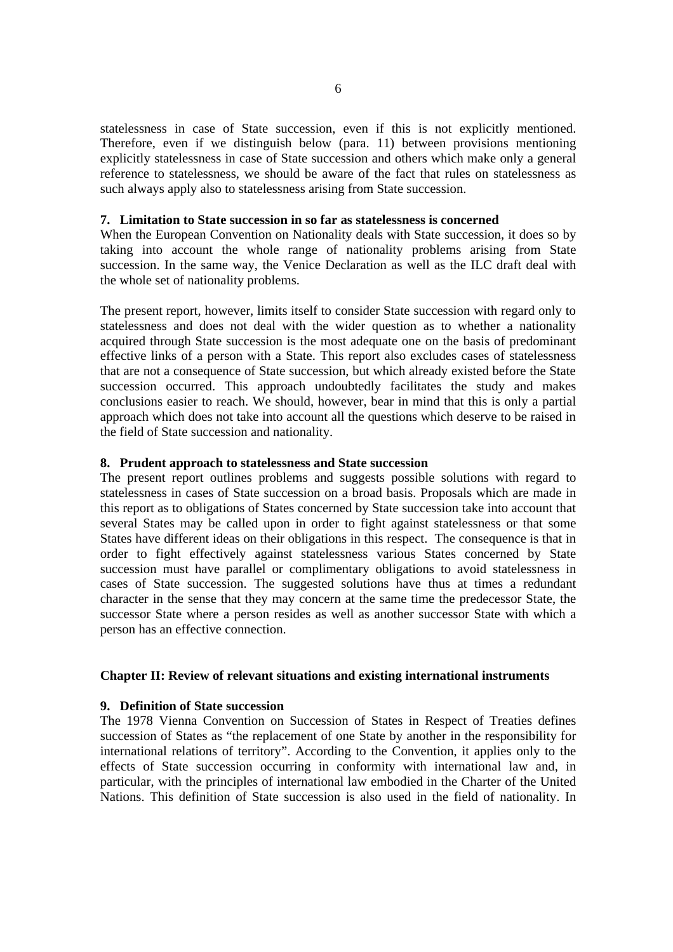statelessness in case of State succession, even if this is not explicitly mentioned. Therefore, even if we distinguish below (para. 11) between provisions mentioning explicitly statelessness in case of State succession and others which make only a general reference to statelessness, we should be aware of the fact that rules on statelessness as such always apply also to statelessness arising from State succession.

# **7. Limitation to State succession in so far as statelessness is concerned**

When the European Convention on Nationality deals with State succession, it does so by taking into account the whole range of nationality problems arising from State succession. In the same way, the Venice Declaration as well as the ILC draft deal with the whole set of nationality problems.

The present report, however, limits itself to consider State succession with regard only to statelessness and does not deal with the wider question as to whether a nationality acquired through State succession is the most adequate one on the basis of predominant effective links of a person with a State. This report also excludes cases of statelessness that are not a consequence of State succession, but which already existed before the State succession occurred. This approach undoubtedly facilitates the study and makes conclusions easier to reach. We should, however, bear in mind that this is only a partial approach which does not take into account all the questions which deserve to be raised in the field of State succession and nationality.

## **8. Prudent approach to statelessness and State succession**

The present report outlines problems and suggests possible solutions with regard to statelessness in cases of State succession on a broad basis. Proposals which are made in this report as to obligations of States concerned by State succession take into account that several States may be called upon in order to fight against statelessness or that some States have different ideas on their obligations in this respect. The consequence is that in order to fight effectively against statelessness various States concerned by State succession must have parallel or complimentary obligations to avoid statelessness in cases of State succession. The suggested solutions have thus at times a redundant character in the sense that they may concern at the same time the predecessor State, the successor State where a person resides as well as another successor State with which a person has an effective connection.

#### **Chapter II: Review of relevant situations and existing international instruments**

#### **9. Definition of State succession**

The 1978 Vienna Convention on Succession of States in Respect of Treaties defines succession of States as "the replacement of one State by another in the responsibility for international relations of territory". According to the Convention, it applies only to the effects of State succession occurring in conformity with international law and, in particular, with the principles of international law embodied in the Charter of the United Nations. This definition of State succession is also used in the field of nationality. In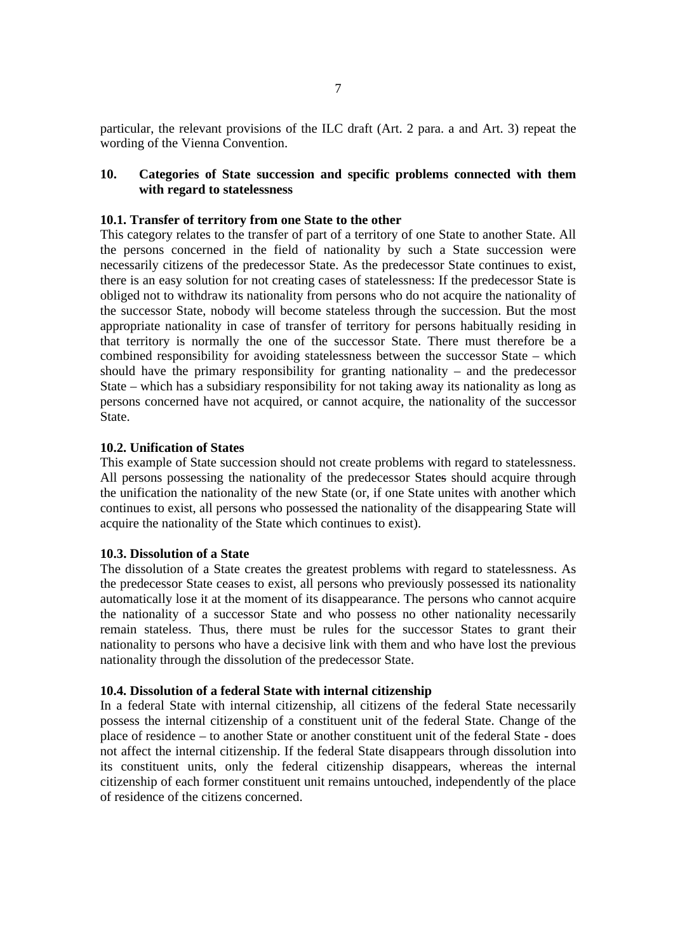particular, the relevant provisions of the ILC draft (Art. 2 para. a and Art. 3) repeat the wording of the Vienna Convention.

# **10. Categories of State succession and specific problems connected with them with regard to statelessness**

#### **10.1. Transfer of territory from one State to the other**

This category relates to the transfer of part of a territory of one State to another State. All the persons concerned in the field of nationality by such a State succession were necessarily citizens of the predecessor State. As the predecessor State continues to exist, there is an easy solution for not creating cases of statelessness: If the predecessor State is obliged not to withdraw its nationality from persons who do not acquire the nationality of the successor State, nobody will become stateless through the succession. But the most appropriate nationality in case of transfer of territory for persons habitually residing in that territory is normally the one of the successor State. There must therefore be a combined responsibility for avoiding statelessness between the successor State – which should have the primary responsibility for granting nationality – and the predecessor State – which has a subsidiary responsibility for not taking away its nationality as long as persons concerned have not acquired, or cannot acquire, the nationality of the successor State.

#### **10.2. Unification of States**

This example of State succession should not create problems with regard to statelessness. All persons possessing the nationality of the predecessor States should acquire through the unification the nationality of the new State (or, if one State unites with another which continues to exist, all persons who possessed the nationality of the disappearing State will acquire the nationality of the State which continues to exist).

#### **10.3. Dissolution of a State**

The dissolution of a State creates the greatest problems with regard to statelessness. As the predecessor State ceases to exist, all persons who previously possessed its nationality automatically lose it at the moment of its disappearance. The persons who cannot acquire the nationality of a successor State and who possess no other nationality necessarily remain stateless. Thus, there must be rules for the successor States to grant their nationality to persons who have a decisive link with them and who have lost the previous nationality through the dissolution of the predecessor State.

# **10.4. Dissolution of a federal State with internal citizenship**

In a federal State with internal citizenship, all citizens of the federal State necessarily possess the internal citizenship of a constituent unit of the federal State. Change of the place of residence – to another State or another constituent unit of the federal State - does not affect the internal citizenship. If the federal State disappears through dissolution into its constituent units, only the federal citizenship disappears, whereas the internal citizenship of each former constituent unit remains untouched, independently of the place of residence of the citizens concerned.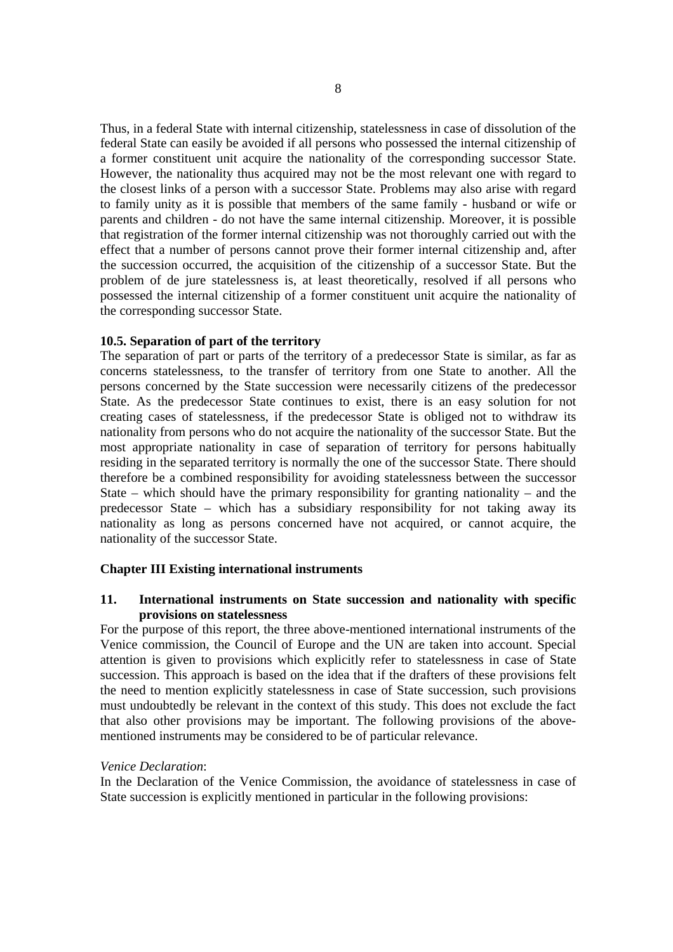Thus, in a federal State with internal citizenship, statelessness in case of dissolution of the federal State can easily be avoided if all persons who possessed the internal citizenship of a former constituent unit acquire the nationality of the corresponding successor State. However, the nationality thus acquired may not be the most relevant one with regard to the closest links of a person with a successor State. Problems may also arise with regard to family unity as it is possible that members of the same family - husband or wife or parents and children - do not have the same internal citizenship. Moreover, it is possible that registration of the former internal citizenship was not thoroughly carried out with the effect that a number of persons cannot prove their former internal citizenship and, after the succession occurred, the acquisition of the citizenship of a successor State. But the problem of de jure statelessness is, at least theoretically, resolved if all persons who possessed the internal citizenship of a former constituent unit acquire the nationality of the corresponding successor State.

# **10.5. Separation of part of the territory**

The separation of part or parts of the territory of a predecessor State is similar, as far as concerns statelessness, to the transfer of territory from one State to another. All the persons concerned by the State succession were necessarily citizens of the predecessor State. As the predecessor State continues to exist, there is an easy solution for not creating cases of statelessness, if the predecessor State is obliged not to withdraw its nationality from persons who do not acquire the nationality of the successor State. But the most appropriate nationality in case of separation of territory for persons habitually residing in the separated territory is normally the one of the successor State. There should therefore be a combined responsibility for avoiding statelessness between the successor State – which should have the primary responsibility for granting nationality – and the predecessor State – which has a subsidiary responsibility for not taking away its nationality as long as persons concerned have not acquired, or cannot acquire, the nationality of the successor State.

### **Chapter III Existing international instruments**

# **11. International instruments on State succession and nationality with specific provisions on statelessness**

For the purpose of this report, the three above-mentioned international instruments of the Venice commission, the Council of Europe and the UN are taken into account. Special attention is given to provisions which explicitly refer to statelessness in case of State succession. This approach is based on the idea that if the drafters of these provisions felt the need to mention explicitly statelessness in case of State succession, such provisions must undoubtedly be relevant in the context of this study. This does not exclude the fact that also other provisions may be important. The following provisions of the abovementioned instruments may be considered to be of particular relevance.

#### *Venice Declaration*:

In the Declaration of the Venice Commission, the avoidance of statelessness in case of State succession is explicitly mentioned in particular in the following provisions: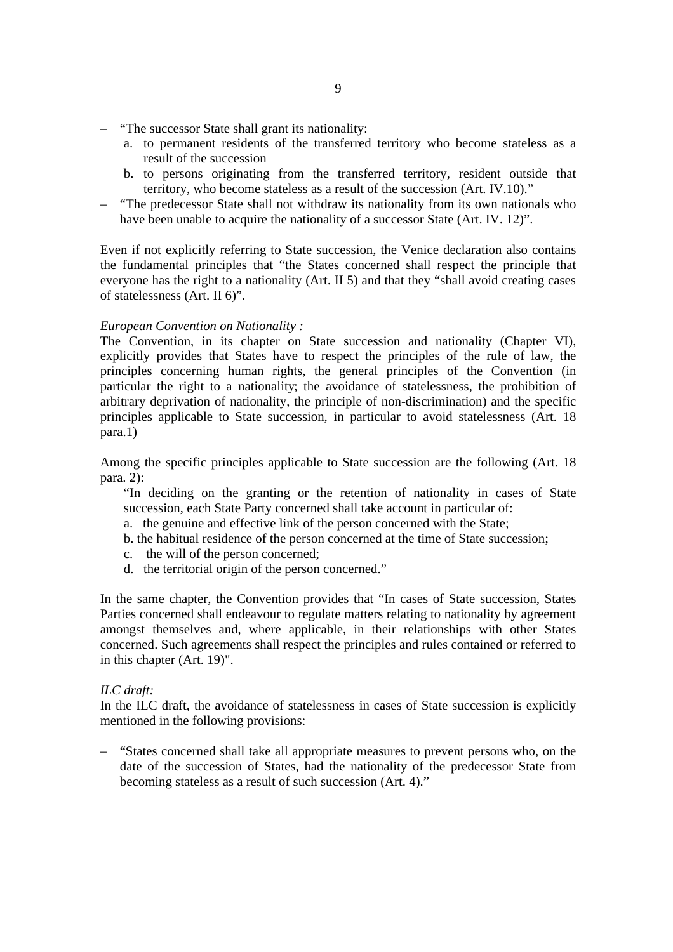- "The successor State shall grant its nationality:
	- a. to permanent residents of the transferred territory who become stateless as a result of the succession
	- b. to persons originating from the transferred territory, resident outside that territory, who become stateless as a result of the succession (Art. IV.10)."
- "The predecessor State shall not withdraw its nationality from its own nationals who have been unable to acquire the nationality of a successor State (Art. IV. 12)".

Even if not explicitly referring to State succession, the Venice declaration also contains the fundamental principles that "the States concerned shall respect the principle that everyone has the right to a nationality (Art. II 5) and that they "shall avoid creating cases of statelessness (Art. II 6)".

#### *European Convention on Nationality :*

The Convention, in its chapter on State succession and nationality (Chapter VI), explicitly provides that States have to respect the principles of the rule of law, the principles concerning human rights, the general principles of the Convention (in particular the right to a nationality; the avoidance of statelessness, the prohibition of arbitrary deprivation of nationality, the principle of non-discrimination) and the specific principles applicable to State succession, in particular to avoid statelessness (Art. 18 para.1)

Among the specific principles applicable to State succession are the following (Art. 18 para. 2):

"In deciding on the granting or the retention of nationality in cases of State succession, each State Party concerned shall take account in particular of:

- a. the genuine and effective link of the person concerned with the State;
- b. the habitual residence of the person concerned at the time of State succession;
- c. the will of the person concerned;
- d. the territorial origin of the person concerned."

In the same chapter, the Convention provides that "In cases of State succession, States Parties concerned shall endeavour to regulate matters relating to nationality by agreement amongst themselves and, where applicable, in their relationships with other States concerned. Such agreements shall respect the principles and rules contained or referred to in this chapter (Art. 19)".

# *ILC draft:*

In the ILC draft, the avoidance of statelessness in cases of State succession is explicitly mentioned in the following provisions:

– "States concerned shall take all appropriate measures to prevent persons who, on the date of the succession of States, had the nationality of the predecessor State from becoming stateless as a result of such succession (Art. 4)."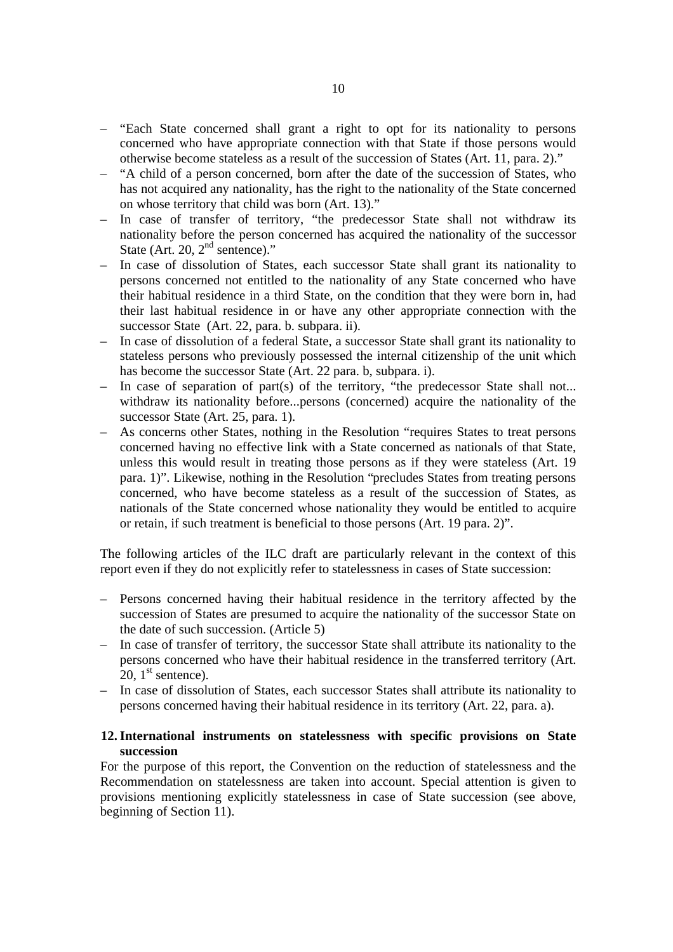- "Each State concerned shall grant a right to opt for its nationality to persons concerned who have appropriate connection with that State if those persons would otherwise become stateless as a result of the succession of States (Art. 11, para. 2)."
- "A child of a person concerned, born after the date of the succession of States, who has not acquired any nationality, has the right to the nationality of the State concerned on whose territory that child was born (Art. 13)."
- In case of transfer of territory, "the predecessor State shall not withdraw its nationality before the person concerned has acquired the nationality of the successor State (Art. 20,  $2<sup>nd</sup>$  sentence)."
- In case of dissolution of States, each successor State shall grant its nationality to persons concerned not entitled to the nationality of any State concerned who have their habitual residence in a third State, on the condition that they were born in, had their last habitual residence in or have any other appropriate connection with the successor State (Art. 22, para. b. subpara. ii).
- In case of dissolution of a federal State, a successor State shall grant its nationality to stateless persons who previously possessed the internal citizenship of the unit which has become the successor State (Art. 22 para. b, subpara. i).
- In case of separation of part(s) of the territory, "the predecessor State shall not... withdraw its nationality before...persons (concerned) acquire the nationality of the successor State (Art. 25, para. 1).
- As concerns other States, nothing in the Resolution "requires States to treat persons concerned having no effective link with a State concerned as nationals of that State, unless this would result in treating those persons as if they were stateless (Art. 19 para. 1)". Likewise, nothing in the Resolution "precludes States from treating persons concerned, who have become stateless as a result of the succession of States, as nationals of the State concerned whose nationality they would be entitled to acquire or retain, if such treatment is beneficial to those persons (Art. 19 para. 2)".

The following articles of the ILC draft are particularly relevant in the context of this report even if they do not explicitly refer to statelessness in cases of State succession:

- Persons concerned having their habitual residence in the territory affected by the succession of States are presumed to acquire the nationality of the successor State on the date of such succession. (Article 5)
- In case of transfer of territory, the successor State shall attribute its nationality to the persons concerned who have their habitual residence in the transferred territory (Art.  $20.1$ <sup>st</sup> sentence).
- In case of dissolution of States, each successor States shall attribute its nationality to persons concerned having their habitual residence in its territory (Art. 22, para. a).

# **12.International instruments on statelessness with specific provisions on State succession**

For the purpose of this report, the Convention on the reduction of statelessness and the Recommendation on statelessness are taken into account. Special attention is given to provisions mentioning explicitly statelessness in case of State succession (see above, beginning of Section 11).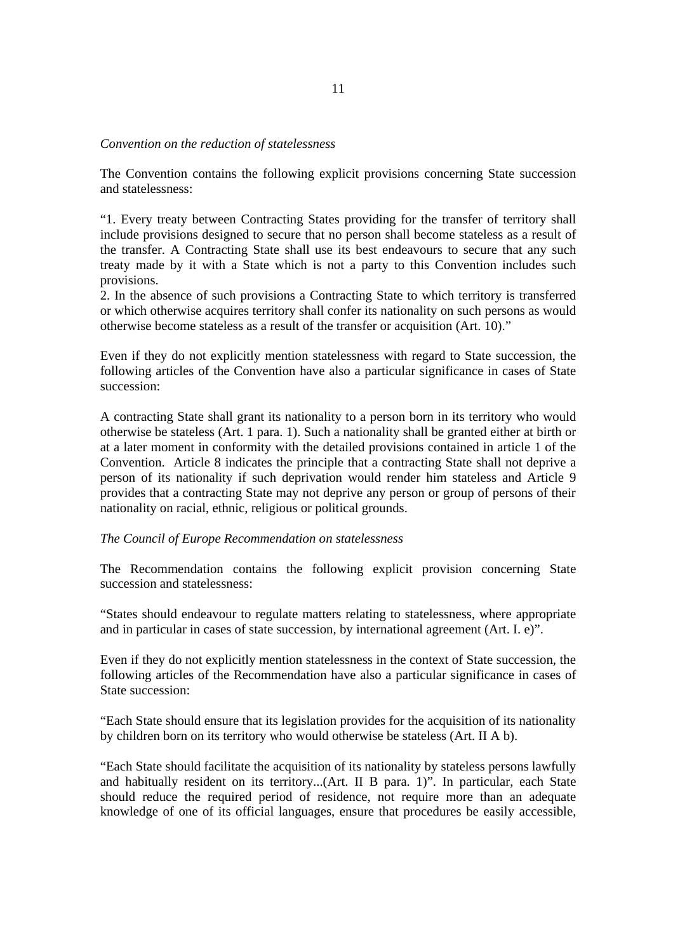## *Convention on the reduction of statelessness*

The Convention contains the following explicit provisions concerning State succession and statelessness:

"1. Every treaty between Contracting States providing for the transfer of territory shall include provisions designed to secure that no person shall become stateless as a result of the transfer. A Contracting State shall use its best endeavours to secure that any such treaty made by it with a State which is not a party to this Convention includes such provisions.

2. In the absence of such provisions a Contracting State to which territory is transferred or which otherwise acquires territory shall confer its nationality on such persons as would otherwise become stateless as a result of the transfer or acquisition (Art. 10)."

Even if they do not explicitly mention statelessness with regard to State succession, the following articles of the Convention have also a particular significance in cases of State succession:

A contracting State shall grant its nationality to a person born in its territory who would otherwise be stateless (Art. 1 para. 1). Such a nationality shall be granted either at birth or at a later moment in conformity with the detailed provisions contained in article 1 of the Convention. Article 8 indicates the principle that a contracting State shall not deprive a person of its nationality if such deprivation would render him stateless and Article 9 provides that a contracting State may not deprive any person or group of persons of their nationality on racial, ethnic, religious or political grounds.

# *The Council of Europe Recommendation on statelessness*

The Recommendation contains the following explicit provision concerning State succession and statelessness:

"States should endeavour to regulate matters relating to statelessness, where appropriate and in particular in cases of state succession, by international agreement (Art. I. e)".

Even if they do not explicitly mention statelessness in the context of State succession, the following articles of the Recommendation have also a particular significance in cases of State succession:

"Each State should ensure that its legislation provides for the acquisition of its nationality by children born on its territory who would otherwise be stateless (Art. II A b).

"Each State should facilitate the acquisition of its nationality by stateless persons lawfully and habitually resident on its territory...(Art. II B para. 1)". In particular, each State should reduce the required period of residence, not require more than an adequate knowledge of one of its official languages, ensure that procedures be easily accessible,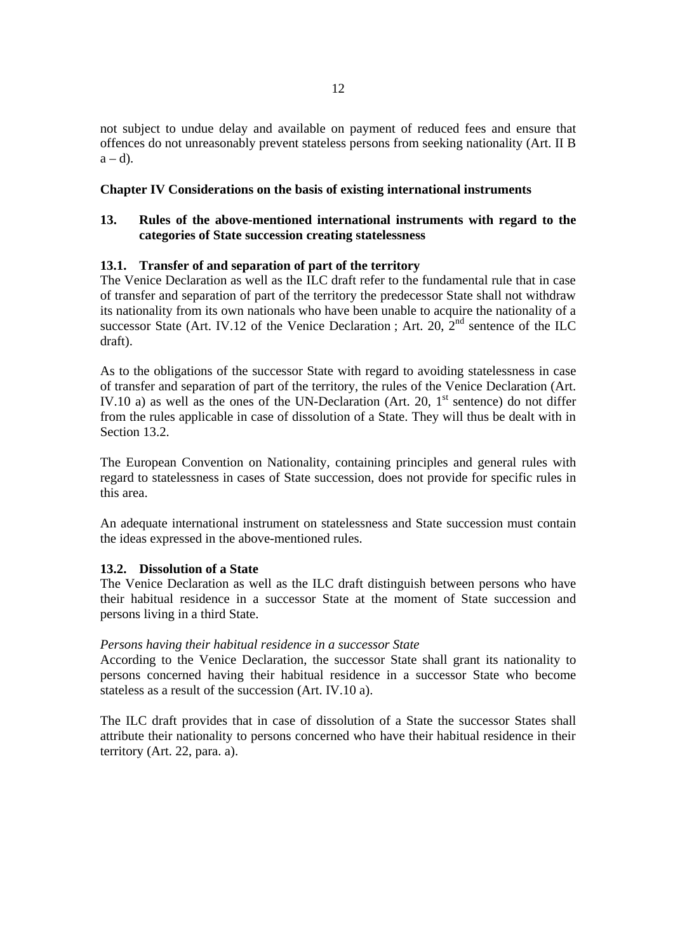not subject to undue delay and available on payment of reduced fees and ensure that offences do not unreasonably prevent stateless persons from seeking nationality (Art. II B  $a - d$ ).

# **Chapter IV Considerations on the basis of existing international instruments**

# **13. Rules of the above-mentioned international instruments with regard to the categories of State succession creating statelessness**

# **13.1. Transfer of and separation of part of the territory**

The Venice Declaration as well as the ILC draft refer to the fundamental rule that in case of transfer and separation of part of the territory the predecessor State shall not withdraw its nationality from its own nationals who have been unable to acquire the nationality of a successor State (Art. IV.12 of the Venice Declaration ; Art. 20,  $2<sup>nd</sup>$  sentence of the ILC draft).

As to the obligations of the successor State with regard to avoiding statelessness in case of transfer and separation of part of the territory, the rules of the Venice Declaration (Art. IV.10 a) as well as the ones of the UN-Declaration (Art. 20,  $1<sup>st</sup>$  sentence) do not differ from the rules applicable in case of dissolution of a State. They will thus be dealt with in Section 13.2.

The European Convention on Nationality, containing principles and general rules with regard to statelessness in cases of State succession, does not provide for specific rules in this area.

An adequate international instrument on statelessness and State succession must contain the ideas expressed in the above-mentioned rules.

# **13.2. Dissolution of a State**

The Venice Declaration as well as the ILC draft distinguish between persons who have their habitual residence in a successor State at the moment of State succession and persons living in a third State.

# *Persons having their habitual residence in a successor State*

According to the Venice Declaration, the successor State shall grant its nationality to persons concerned having their habitual residence in a successor State who become stateless as a result of the succession (Art. IV.10 a).

The ILC draft provides that in case of dissolution of a State the successor States shall attribute their nationality to persons concerned who have their habitual residence in their territory (Art. 22, para. a).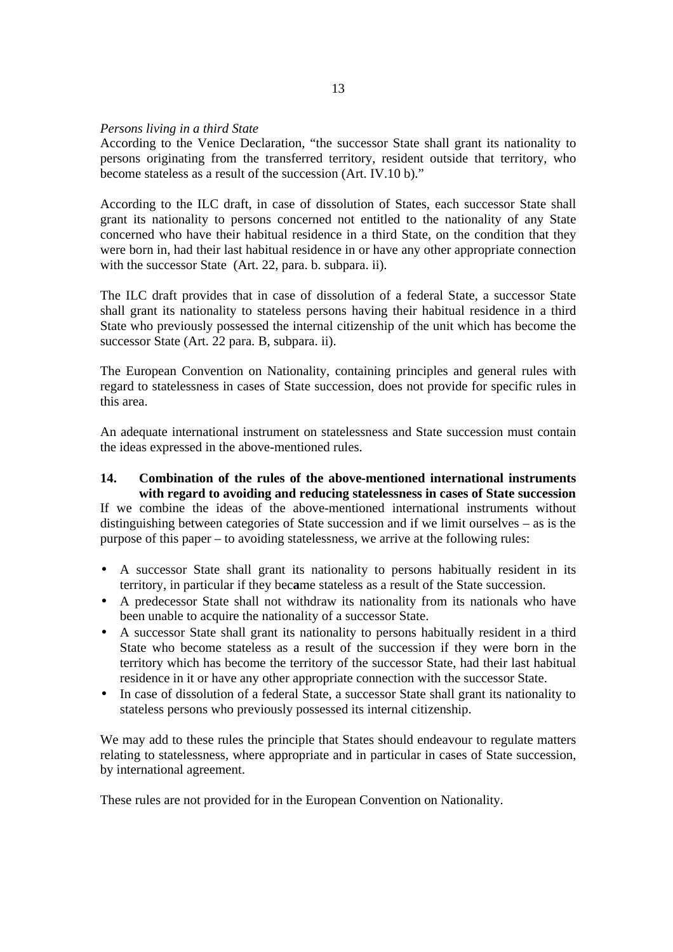## *Persons living in a third State*

According to the Venice Declaration, "the successor State shall grant its nationality to persons originating from the transferred territory, resident outside that territory, who become stateless as a result of the succession (Art. IV.10 b)."

According to the ILC draft, in case of dissolution of States, each successor State shall grant its nationality to persons concerned not entitled to the nationality of any State concerned who have their habitual residence in a third State, on the condition that they were born in, had their last habitual residence in or have any other appropriate connection with the successor State (Art. 22, para. b. subpara. ii).

The ILC draft provides that in case of dissolution of a federal State, a successor State shall grant its nationality to stateless persons having their habitual residence in a third State who previously possessed the internal citizenship of the unit which has become the successor State (Art. 22 para. B, subpara. ii).

The European Convention on Nationality, containing principles and general rules with regard to statelessness in cases of State succession, does not provide for specific rules in this area.

An adequate international instrument on statelessness and State succession must contain the ideas expressed in the above-mentioned rules.

**14. Combination of the rules of the above-mentioned international instruments with regard to avoiding and reducing statelessness in cases of State succession**  If we combine the ideas of the above-mentioned international instruments without distinguishing between categories of State succession and if we limit ourselves – as is the purpose of this paper – to avoiding statelessness, we arrive at the following rules:

- A successor State shall grant its nationality to persons habitually resident in its territory, in particular if they bec**a**me stateless as a result of the State succession.
- A predecessor State shall not withdraw its nationality from its nationals who have been unable to acquire the nationality of a successor State.
- A successor State shall grant its nationality to persons habitually resident in a third State who become stateless as a result of the succession if they were born in the territory which has become the territory of the successor State, had their last habitual residence in it or have any other appropriate connection with the successor State.
- In case of dissolution of a federal State, a successor State shall grant its nationality to stateless persons who previously possessed its internal citizenship.

We may add to these rules the principle that States should endeavour to regulate matters relating to statelessness, where appropriate and in particular in cases of State succession, by international agreement.

These rules are not provided for in the European Convention on Nationality.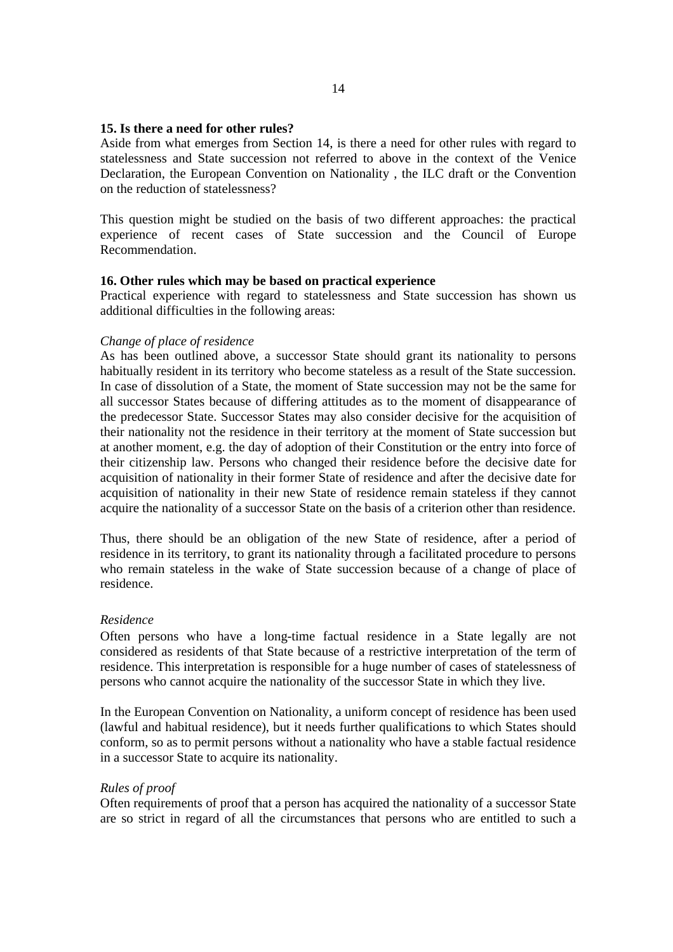# **15. Is there a need for other rules?**

Aside from what emerges from Section 14, is there a need for other rules with regard to statelessness and State succession not referred to above in the context of the Venice Declaration, the European Convention on Nationality , the ILC draft or the Convention on the reduction of statelessness?

This question might be studied on the basis of two different approaches: the practical experience of recent cases of State succession and the Council of Europe Recommendation.

#### **16. Other rules which may be based on practical experience**

Practical experience with regard to statelessness and State succession has shown us additional difficulties in the following areas:

#### *Change of place of residence*

As has been outlined above, a successor State should grant its nationality to persons habitually resident in its territory who become stateless as a result of the State succession. In case of dissolution of a State, the moment of State succession may not be the same for all successor States because of differing attitudes as to the moment of disappearance of the predecessor State. Successor States may also consider decisive for the acquisition of their nationality not the residence in their territory at the moment of State succession but at another moment, e.g. the day of adoption of their Constitution or the entry into force of their citizenship law. Persons who changed their residence before the decisive date for acquisition of nationality in their former State of residence and after the decisive date for acquisition of nationality in their new State of residence remain stateless if they cannot acquire the nationality of a successor State on the basis of a criterion other than residence.

Thus, there should be an obligation of the new State of residence, after a period of residence in its territory, to grant its nationality through a facilitated procedure to persons who remain stateless in the wake of State succession because of a change of place of residence.

#### *Residence*

Often persons who have a long-time factual residence in a State legally are not considered as residents of that State because of a restrictive interpretation of the term of residence. This interpretation is responsible for a huge number of cases of statelessness of persons who cannot acquire the nationality of the successor State in which they live.

In the European Convention on Nationality, a uniform concept of residence has been used (lawful and habitual residence), but it needs further qualifications to which States should conform, so as to permit persons without a nationality who have a stable factual residence in a successor State to acquire its nationality.

#### *Rules of proof*

Often requirements of proof that a person has acquired the nationality of a successor State are so strict in regard of all the circumstances that persons who are entitled to such a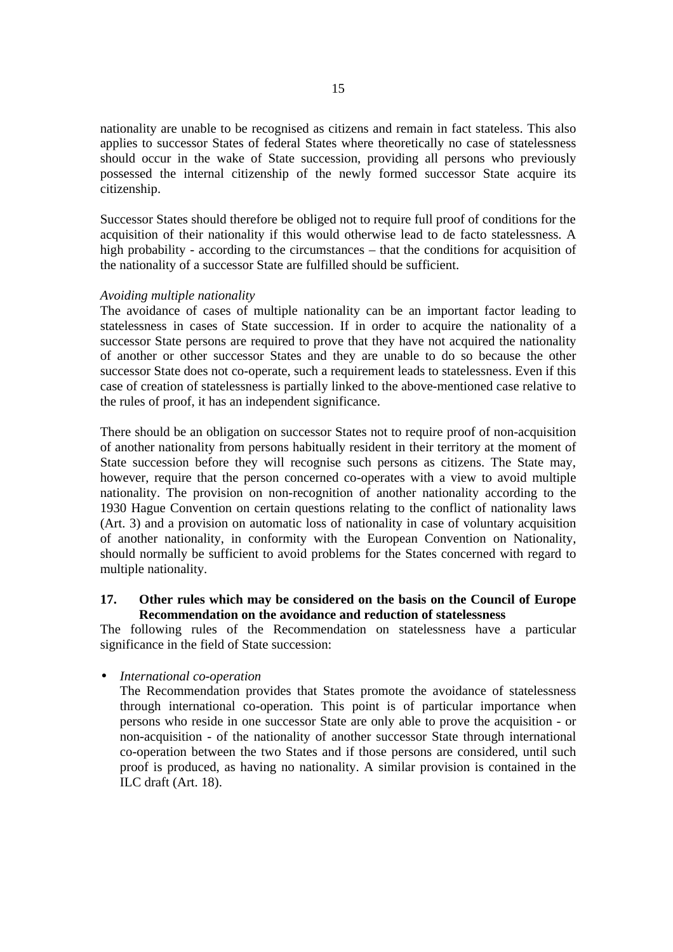nationality are unable to be recognised as citizens and remain in fact stateless. This also applies to successor States of federal States where theoretically no case of statelessness should occur in the wake of State succession, providing all persons who previously possessed the internal citizenship of the newly formed successor State acquire its citizenship.

Successor States should therefore be obliged not to require full proof of conditions for the acquisition of their nationality if this would otherwise lead to de facto statelessness. A high probability - according to the circumstances – that the conditions for acquisition of the nationality of a successor State are fulfilled should be sufficient.

# *Avoiding multiple nationality*

The avoidance of cases of multiple nationality can be an important factor leading to statelessness in cases of State succession. If in order to acquire the nationality of a successor State persons are required to prove that they have not acquired the nationality of another or other successor States and they are unable to do so because the other successor State does not co-operate, such a requirement leads to statelessness. Even if this case of creation of statelessness is partially linked to the above-mentioned case relative to the rules of proof, it has an independent significance.

There should be an obligation on successor States not to require proof of non-acquisition of another nationality from persons habitually resident in their territory at the moment of State succession before they will recognise such persons as citizens. The State may, however, require that the person concerned co-operates with a view to avoid multiple nationality. The provision on non-recognition of another nationality according to the 1930 Hague Convention on certain questions relating to the conflict of nationality laws (Art. 3) and a provision on automatic loss of nationality in case of voluntary acquisition of another nationality, in conformity with the European Convention on Nationality, should normally be sufficient to avoid problems for the States concerned with regard to multiple nationality.

# **17. Other rules which may be considered on the basis on the Council of Europe Recommendation on the avoidance and reduction of statelessness**

The following rules of the Recommendation on statelessness have a particular significance in the field of State succession:

• *International co-operation*

The Recommendation provides that States promote the avoidance of statelessness through international co-operation. This point is of particular importance when persons who reside in one successor State are only able to prove the acquisition - or non-acquisition - of the nationality of another successor State through international co-operation between the two States and if those persons are considered, until such proof is produced, as having no nationality. A similar provision is contained in the ILC draft (Art. 18).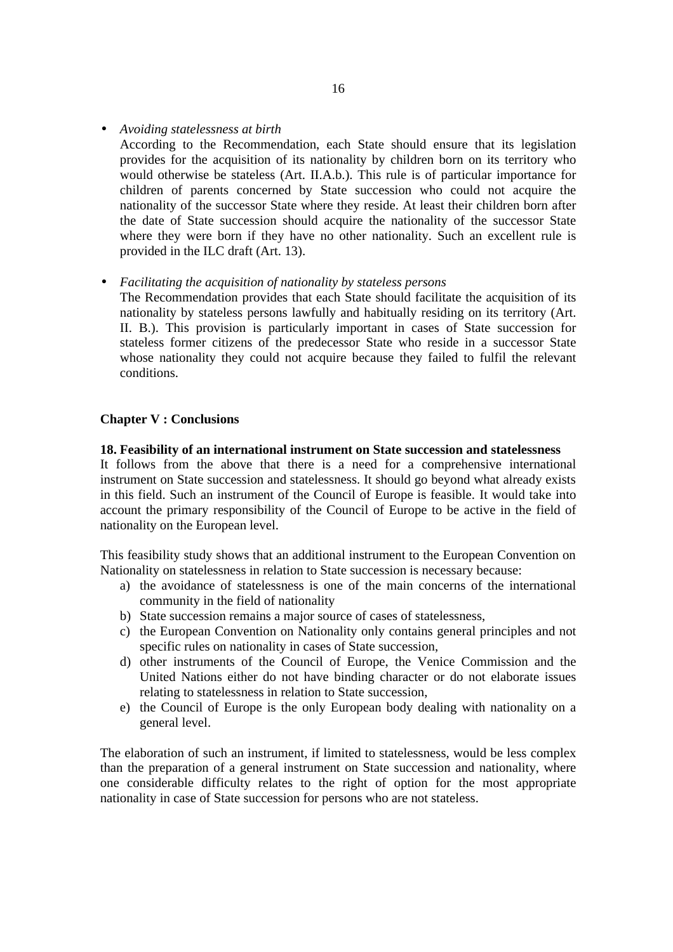• *Avoiding statelessness at birth*

According to the Recommendation, each State should ensure that its legislation provides for the acquisition of its nationality by children born on its territory who would otherwise be stateless (Art. II.A.b.). This rule is of particular importance for children of parents concerned by State succession who could not acquire the nationality of the successor State where they reside. At least their children born after the date of State succession should acquire the nationality of the successor State where they were born if they have no other nationality. Such an excellent rule is provided in the ILC draft (Art. 13).

• *Facilitating the acquisition of nationality by stateless persons*

The Recommendation provides that each State should facilitate the acquisition of its nationality by stateless persons lawfully and habitually residing on its territory (Art. II. B.). This provision is particularly important in cases of State succession for stateless former citizens of the predecessor State who reside in a successor State whose nationality they could not acquire because they failed to fulfil the relevant conditions.

## **Chapter V : Conclusions**

#### **18. Feasibility of an international instrument on State succession and statelessness**

It follows from the above that there is a need for a comprehensive international instrument on State succession and statelessness. It should go beyond what already exists in this field. Such an instrument of the Council of Europe is feasible. It would take into account the primary responsibility of the Council of Europe to be active in the field of nationality on the European level.

This feasibility study shows that an additional instrument to the European Convention on Nationality on statelessness in relation to State succession is necessary because:

- a) the avoidance of statelessness is one of the main concerns of the international community in the field of nationality
- b) State succession remains a major source of cases of statelessness,
- c) the European Convention on Nationality only contains general principles and not specific rules on nationality in cases of State succession,
- d) other instruments of the Council of Europe, the Venice Commission and the United Nations either do not have binding character or do not elaborate issues relating to statelessness in relation to State succession,
- e) the Council of Europe is the only European body dealing with nationality on a general level.

The elaboration of such an instrument, if limited to statelessness, would be less complex than the preparation of a general instrument on State succession and nationality, where one considerable difficulty relates to the right of option for the most appropriate nationality in case of State succession for persons who are not stateless.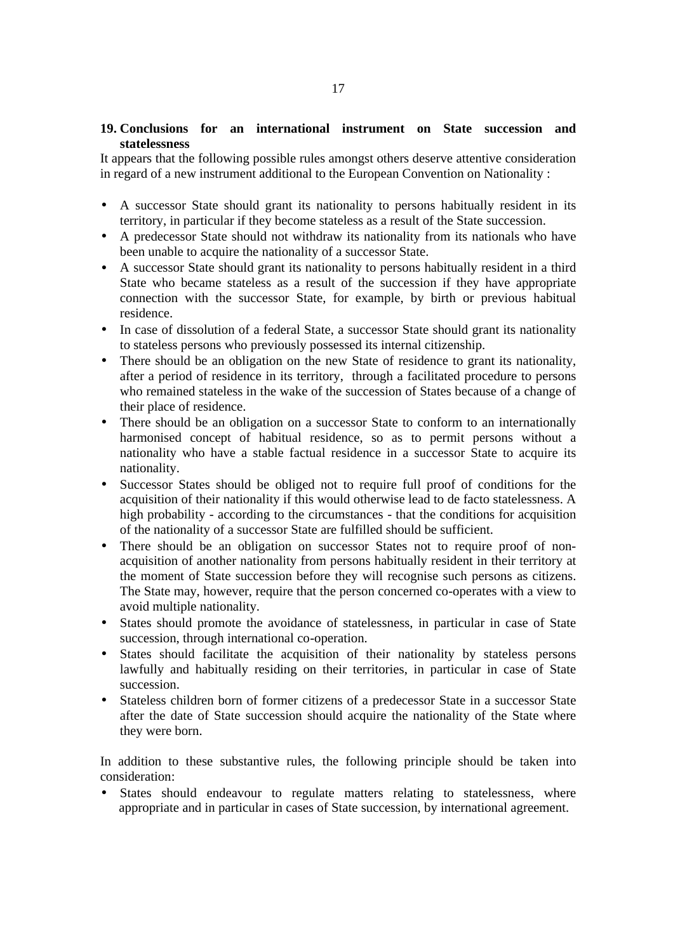# **19. Conclusions for an international instrument on State succession and statelessness**

It appears that the following possible rules amongst others deserve attentive consideration in regard of a new instrument additional to the European Convention on Nationality :

- A successor State should grant its nationality to persons habitually resident in its territory, in particular if they become stateless as a result of the State succession.
- A predecessor State should not withdraw its nationality from its nationals who have been unable to acquire the nationality of a successor State.
- A successor State should grant its nationality to persons habitually resident in a third State who became stateless as a result of the succession if they have appropriate connection with the successor State, for example, by birth or previous habitual residence.
- In case of dissolution of a federal State, a successor State should grant its nationality to stateless persons who previously possessed its internal citizenship.
- There should be an obligation on the new State of residence to grant its nationality, after a period of residence in its territory, through a facilitated procedure to persons who remained stateless in the wake of the succession of States because of a change of their place of residence.
- There should be an obligation on a successor State to conform to an internationally harmonised concept of habitual residence, so as to permit persons without a nationality who have a stable factual residence in a successor State to acquire its nationality.
- Successor States should be obliged not to require full proof of conditions for the acquisition of their nationality if this would otherwise lead to de facto statelessness. A high probability - according to the circumstances - that the conditions for acquisition of the nationality of a successor State are fulfilled should be sufficient.
- There should be an obligation on successor States not to require proof of nonacquisition of another nationality from persons habitually resident in their territory at the moment of State succession before they will recognise such persons as citizens. The State may, however, require that the person concerned co-operates with a view to avoid multiple nationality.
- States should promote the avoidance of statelessness, in particular in case of State succession, through international co-operation.
- States should facilitate the acquisition of their nationality by stateless persons lawfully and habitually residing on their territories, in particular in case of State succession.
- Stateless children born of former citizens of a predecessor State in a successor State after the date of State succession should acquire the nationality of the State where they were born.

In addition to these substantive rules, the following principle should be taken into consideration:

• States should endeavour to regulate matters relating to statelessness, where appropriate and in particular in cases of State succession, by international agreement.